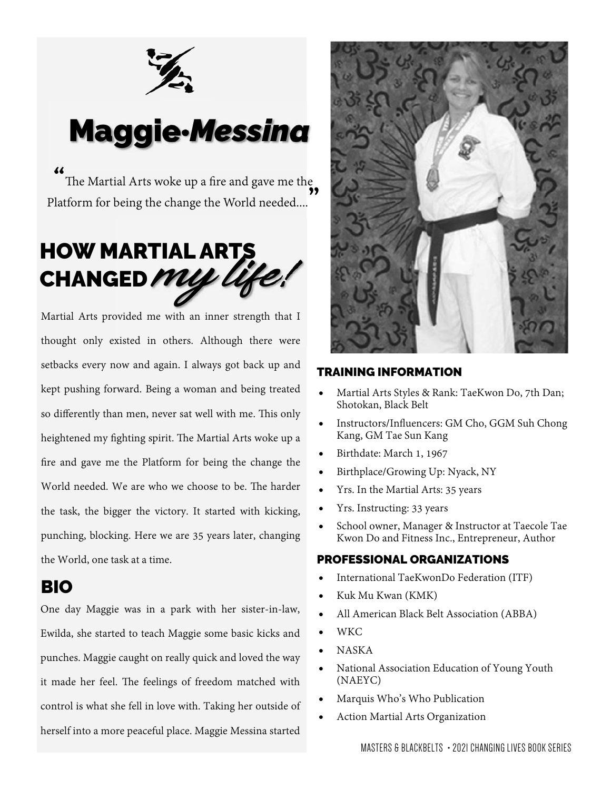

# Maggie·*Messina*

" The Martial Arts woke up a fire and gave me the Platform for being the change the World needed.... **"** 

# HOW MARTIAL ARTS<br>CHANGED *MULY Life!* CHANGED

Martial Arts provided me with an inner strength that I thought only existed in others. Although there were setbacks every now and again. I always got back up and kept pushing forward. Being a woman and being treated so differently than men, never sat well with me. This only heightened my fighting spirit. The Martial Arts woke up a fire and gave me the Platform for being the change the World needed. We are who we choose to be. The harder the task, the bigger the victory. It started with kicking, punching, blocking. Here we are 35 years later, changing the World, one task at a time.

# BIO

One day Maggie was in a park with her sister-in-law, Ewilda, she started to teach Maggie some basic kicks and punches. Maggie caught on really quick and loved the way it made her feel. The feelings of freedom matched with control is what she fell in love with. Taking her outside of herself into a more peaceful place. Maggie Messina started



## TRAINING INFORMATION

- Martial Arts Styles & Rank: TaeKwon Do, 7th Dan; Shotokan, Black Belt
- Instructors/Influencers: GM Cho, GGM Suh Chong Kang, GM Tae Sun Kang
- Birthdate: March 1, 1967
- Birthplace/Growing Up: Nyack, NY
- Yrs. In the Martial Arts: 35 years
- Yrs. Instructing: 33 years
- School owner, Manager & Instructor at Taecole Tae Kwon Do and Fitness Inc., Entrepreneur, Author

# PROFESSIONAL ORGANIZATIONS

- International TaeKwonDo Federation (ITF)
- Kuk Mu Kwan (KMK)
- All American Black Belt Association (ABBA)
- WKC
- NASKA
- National Association Education of Young Youth (NAEYC)
- Marquis Who's Who Publication
- Action Martial Arts Organization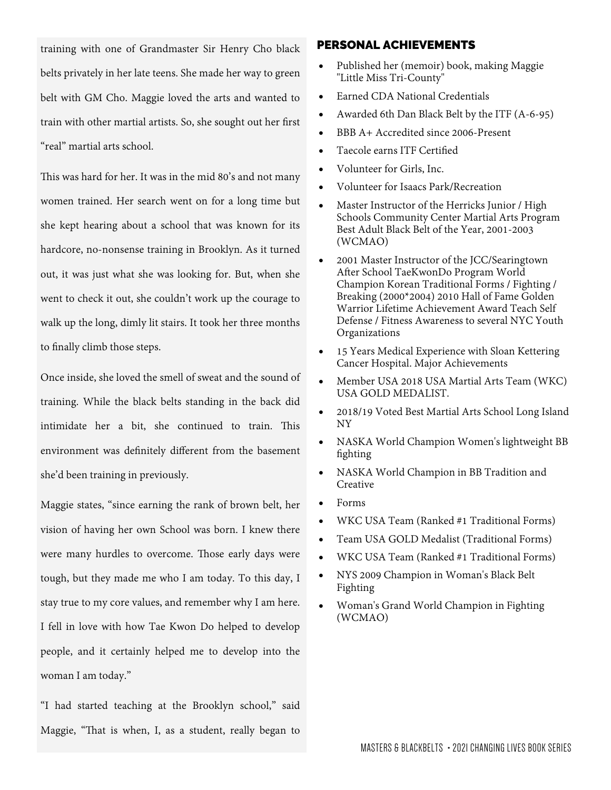training with one of Grandmaster Sir Henry Cho black belts privately in her late teens. She made her way to green belt with GM Cho. Maggie loved the arts and wanted to train with other martial artists. So, she sought out her first "real" martial arts school.

This was hard for her. It was in the mid 80's and not many women trained. Her search went on for a long time but she kept hearing about a school that was known for its hardcore, no-nonsense training in Brooklyn. As it turned out, it was just what she was looking for. But, when she went to check it out, she couldn't work up the courage to walk up the long, dimly lit stairs. It took her three months to finally climb those steps.

Once inside, she loved the smell of sweat and the sound of training. While the black belts standing in the back did intimidate her a bit, she continued to train. This environment was definitely different from the basement she'd been training in previously.

Maggie states, "since earning the rank of brown belt, her vision of having her own School was born. I knew there were many hurdles to overcome. Those early days were tough, but they made me who I am today. To this day, I stay true to my core values, and remember why I am here. I fell in love with how Tae Kwon Do helped to develop people, and it certainly helped me to develop into the woman I am today."

"I had started teaching at the Brooklyn school," said Maggie, "That is when, I, as a student, really began to

### PERSONAL ACHIEVEMENTS

- Published her (memoir) book, making Maggie "Little Miss Tri-County"
- Earned CDA National Credentials
- Awarded 6th Dan Black Belt by the ITF (A-6-95)
- BBB A+ Accredited since 2006-Present
- Taecole earns ITF Certified
- Volunteer for Girls, Inc.
- Volunteer for Isaacs Park/Recreation
- Master Instructor of the Herricks Junior / High Schools Community Center Martial Arts Program Best Adult Black Belt of the Year, 2001-2003 (WCMAO)
- 2001 Master Instructor of the JCC/Searingtown After School TaeKwonDo Program World Champion Korean Traditional Forms / Fighting / Breaking (2000\*2004) 2010 Hall of Fame Golden Warrior Lifetime Achievement Award Teach Self Defense / Fitness Awareness to several NYC Youth Organizations
- 15 Years Medical Experience with Sloan Kettering Cancer Hospital. Major Achievements
- Member USA 2018 USA Martial Arts Team (WKC) USA GOLD MEDALIST.
- 2018/19 Voted Best Martial Arts School Long Island NY
- NASKA World Champion Women's lightweight BB fighting
- NASKA World Champion in BB Tradition and Creative
- Forms
- WKC USA Team (Ranked #1 Traditional Forms)
- Team USA GOLD Medalist (Traditional Forms)
- WKC USA Team (Ranked #1 Traditional Forms)
- NYS 2009 Champion in Woman's Black Belt Fighting
- Woman's Grand World Champion in Fighting (WCMAO)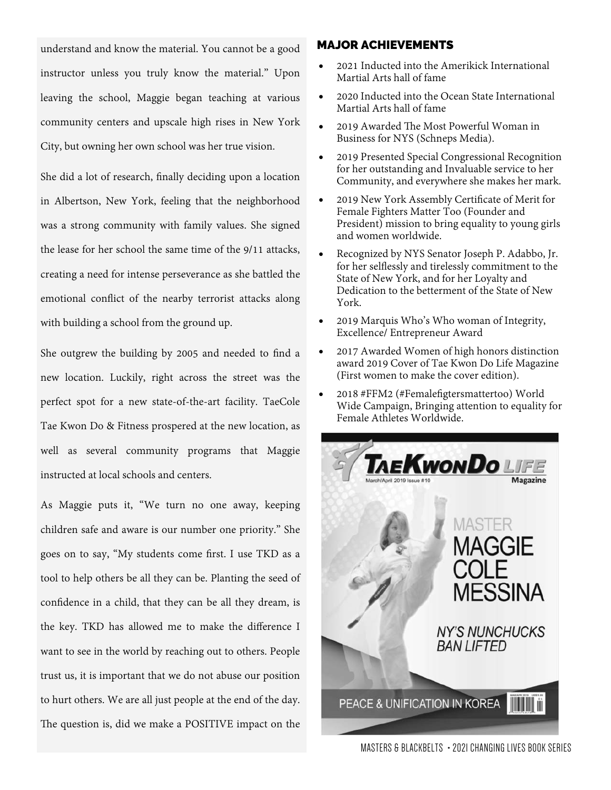understand and know the material. You cannot be a good instructor unless you truly know the material." Upon leaving the school, Maggie began teaching at various community centers and upscale high rises in New York City, but owning her own school was her true vision.

She did a lot of research, finally deciding upon a location in Albertson, New York, feeling that the neighborhood was a strong community with family values. She signed the lease for her school the same time of the 9/11 attacks, creating a need for intense perseverance as she battled the emotional conflict of the nearby terrorist attacks along with building a school from the ground up.

She outgrew the building by 2005 and needed to find a new location. Luckily, right across the street was the perfect spot for a new state-of-the-art facility. TaeCole Tae Kwon Do & Fitness prospered at the new location, as well as several community programs that Maggie instructed at local schools and centers.

As Maggie puts it, "We turn no one away, keeping children safe and aware is our number one priority." She goes on to say, "My students come first. I use TKD as a tool to help others be all they can be. Planting the seed of confidence in a child, that they can be all they dream, is the key. TKD has allowed me to make the difference I want to see in the world by reaching out to others. People trust us, it is important that we do not abuse our position to hurt others. We are all just people at the end of the day. The question is, did we make a POSITIVE impact on the

### MAJOR ACHIEVEMENTS

- 2021 Inducted into the Amerikick International Martial Arts hall of fame
- 2020 Inducted into the Ocean State International Martial Arts hall of fame
- 2019 Awarded The Most Powerful Woman in Business for NYS (Schneps Media).
- 2019 Presented Special Congressional Recognition for her outstanding and Invaluable service to her Community, and everywhere she makes her mark.
- 2019 New York Assembly Certificate of Merit for Female Fighters Matter Too (Founder and President) mission to bring equality to young girls and women worldwide.
- Recognized by NYS Senator Joseph P. Adabbo, Jr. for her selflessly and tirelessly commitment to the State of New York, and for her Loyalty and Dedication to the betterment of the State of New York.
- 2019 Marquis Who's Who woman of Integrity, Excellence/ Entrepreneur Award
- 2017 Awarded Women of high honors distinction award 2019 Cover of Tae Kwon Do Life Magazine (First women to make the cover edition).
- 2018 #FFM2 (#Femalefigtersmattertoo) World Wide Campaign, Bringing attention to equality for Female Athletes Worldwide.



MASTERS & BLACKBELTS ∙ 2021 CHANGING LIVES BOOK SERIES